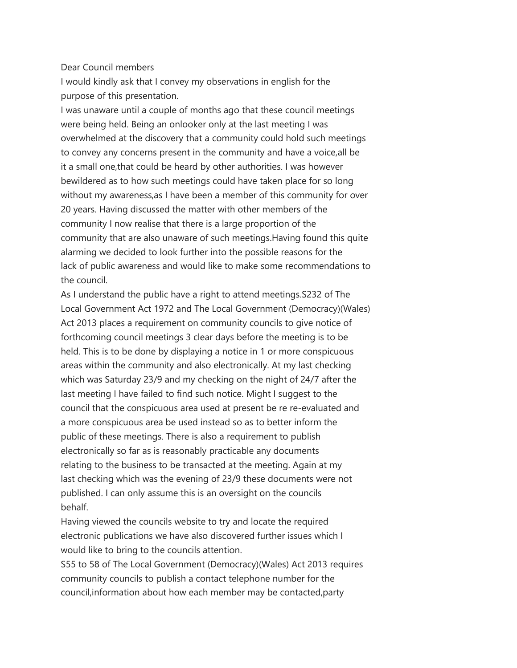## Dear Council members

I would kindly ask that I convey my observations in english for the purpose of this presentation.

I was unaware until a couple of months ago that these council meetings were being held. Being an onlooker only at the last meeting I was overwhelmed at the discovery that a community could hold such meetings to convey any concerns present in the community and have a voice,all be it a small one,that could be heard by other authorities. I was however bewildered as to how such meetings could have taken place for so long without my awareness,as I have been a member of this community for over 20 years. Having discussed the matter with other members of the community I now realise that there is a large proportion of the community that are also unaware of such meetings.Having found this quite alarming we decided to look further into the possible reasons for the lack of public awareness and would like to make some recommendations to the council.

As I understand the public have a right to attend meetings.S232 of The Local Government Act 1972 and The Local Government (Democracy)(Wales) Act 2013 places a requirement on community councils to give notice of forthcoming council meetings 3 clear days before the meeting is to be held. This is to be done by displaying a notice in 1 or more conspicuous areas within the community and also electronically. At my last checking which was Saturday 23/9 and my checking on the night of 24/7 after the last meeting I have failed to find such notice. Might I suggest to the council that the conspicuous area used at present be re re-evaluated and a more conspicuous area be used instead so as to better inform the public of these meetings. There is also a requirement to publish electronically so far as is reasonably practicable any documents relating to the business to be transacted at the meeting. Again at my last checking which was the evening of 23/9 these documents were not published. I can only assume this is an oversight on the councils behalf.

Having viewed the councils website to try and locate the required electronic publications we have also discovered further issues which I would like to bring to the councils attention.

S55 to 58 of The Local Government (Democracy)(Wales) Act 2013 requires community councils to publish a contact telephone number for the council,information about how each member may be contacted,party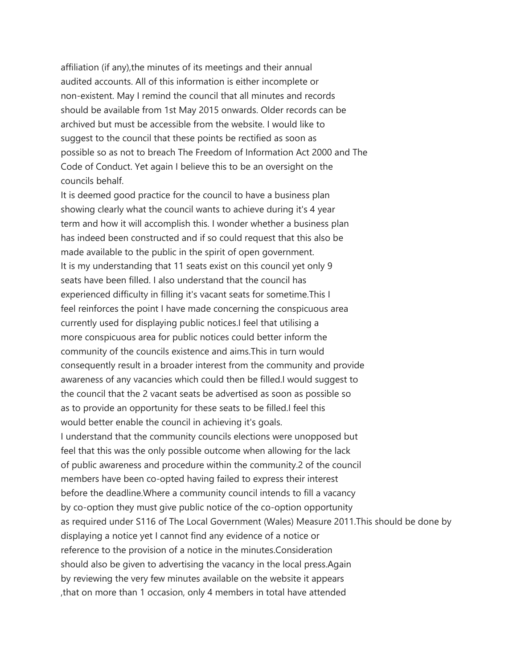affiliation (if any),the minutes of its meetings and their annual audited accounts. All of this information is either incomplete or non-existent. May I remind the council that all minutes and records should be available from 1st May 2015 onwards. Older records can be archived but must be accessible from the website. I would like to suggest to the council that these points be rectified as soon as possible so as not to breach The Freedom of Information Act 2000 and The Code of Conduct. Yet again I believe this to be an oversight on the councils behalf.

It is deemed good practice for the council to have a business plan showing clearly what the council wants to achieve during it's 4 year term and how it will accomplish this. I wonder whether a business plan has indeed been constructed and if so could request that this also be made available to the public in the spirit of open government. It is my understanding that 11 seats exist on this council yet only 9 seats have been filled. I also understand that the council has experienced difficulty in filling it's vacant seats for sometime.This I feel reinforces the point I have made concerning the conspicuous area currently used for displaying public notices.I feel that utilising a more conspicuous area for public notices could better inform the community of the councils existence and aims.This in turn would consequently result in a broader interest from the community and provide awareness of any vacancies which could then be filled.I would suggest to the council that the 2 vacant seats be advertised as soon as possible so as to provide an opportunity for these seats to be filled.I feel this would better enable the council in achieving it's goals. I understand that the community councils elections were unopposed but feel that this was the only possible outcome when allowing for the lack of public awareness and procedure within the community.2 of the council members have been co-opted having failed to express their interest before the deadline.Where a community council intends to fill a vacancy by co-option they must give public notice of the co-option opportunity as required under S116 of The Local Government (Wales) Measure 2011.This should be done by displaying a notice yet I cannot find any evidence of a notice or reference to the provision of a notice in the minutes.Consideration should also be given to advertising the vacancy in the local press.Again by reviewing the very few minutes available on the website it appears ,that on more than 1 occasion, only 4 members in total have attended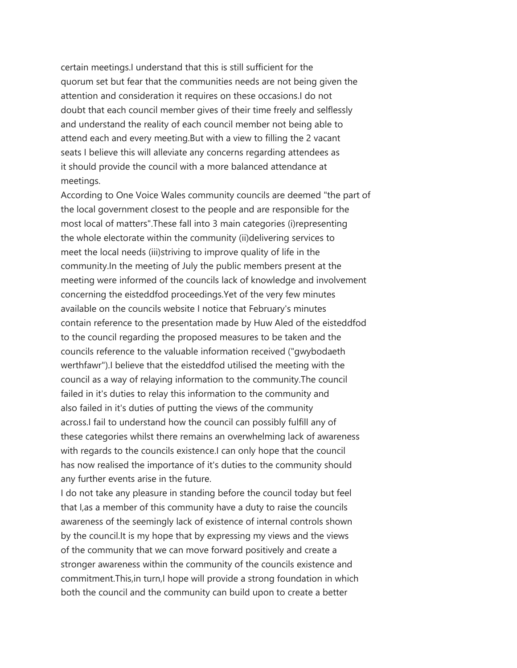certain meetings.I understand that this is still sufficient for the quorum set but fear that the communities needs are not being given the attention and consideration it requires on these occasions.I do not doubt that each council member gives of their time freely and selflessly and understand the reality of each council member not being able to attend each and every meeting.But with a view to filling the 2 vacant seats I believe this will alleviate any concerns regarding attendees as it should provide the council with a more balanced attendance at meetings.

According to One Voice Wales community councils are deemed "the part of the local government closest to the people and are responsible for the most local of matters".These fall into 3 main categories (i)representing the whole electorate within the community (ii)delivering services to meet the local needs (iii)striving to improve quality of life in the community.In the meeting of July the public members present at the meeting were informed of the councils lack of knowledge and involvement concerning the eisteddfod proceedings.Yet of the very few minutes available on the councils website I notice that February's minutes contain reference to the presentation made by Huw Aled of the eisteddfod to the council regarding the proposed measures to be taken and the councils reference to the valuable information received ("gwybodaeth werthfawr").I believe that the eisteddfod utilised the meeting with the council as a way of relaying information to the community.The council failed in it's duties to relay this information to the community and also failed in it's duties of putting the views of the community across.I fail to understand how the council can possibly fulfill any of these categories whilst there remains an overwhelming lack of awareness with regards to the councils existence.I can only hope that the council has now realised the importance of it's duties to the community should any further events arise in the future.

I do not take any pleasure in standing before the council today but feel that I,as a member of this community have a duty to raise the councils awareness of the seemingly lack of existence of internal controls shown by the council.It is my hope that by expressing my views and the views of the community that we can move forward positively and create a stronger awareness within the community of the councils existence and commitment.This,in turn,I hope will provide a strong foundation in which both the council and the community can build upon to create a better